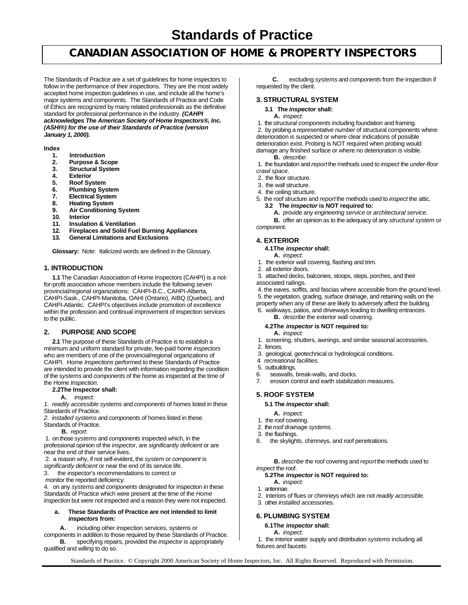# **Standards of Practice**

# **CANADIAN ASSOCIATION OF HOME & PROPERTY INSPECTORS**

The Standards of Practice are a set of guidelines for home inspectors to follow in the performance of their inspections. They are the most widely accepted home inspection guidelines in use, and include all the home's major systems and components. The Standards of Practice and Code of Ethics are recognized by many related professionals as the definitive standard for professional performance in the industry. *(CAHPI acknowledges The American Society of Home Inspectors®, Inc. (ASHI®) for the use of their Standards of Practice (version January 1, 2000).*

### **Index**

- **1. Introduction**
- **2. Purpose & Scope**
- **3. Structural System**
- **4. Exterior**
- **5. Roof System**
- **6. Plumbing System**
- **7. Electrical System**
- **8. Heating System**
- **9. Air Conditioning System**
- **10. Interior**
- **11. Insulation & Ventilation**
- **12. Fireplaces and Solid Fuel Burning Appliances**
- **13. General Limitations and Exclusions**

**Glossary:** Note: Italicized words are defined in the Glossary.

### **1. INTRODUCTION**

**1.1** The Canadian Association of Home Inspectors (CAHPI) is a notfor-profit association whose members include the following seven provincial/regional organizations: CAHPI-B.C., CAHPI-Alberta, CAHPI-Sask., CAHPI-Manitoba, OAHI (Ontario), AIBQ (Quebec), and CAHPI-Atlantic. CAHPI's objectives include promotion of excellence within the profession and continual improvement of inspection services to the public.

### **2. PURPOSE AND SCOPE**

**2.1** The purpose of these Standards of Practice is to establish a minimum and uniform standard for private, fee-paid home *inspectors* who are members of one of the provincial/regional organizations of CAHPI. Home *Inspections* performed to these Standards of Practice are intended to provide the client with information regarding the condition of the *systems* and *components* of the home as inspected at the time of the Home *Inspection*.

#### **2.2The Inspector shall:**

**A.** *inspect:*

*1. readily accessible systems* and *components* of homes listed in these Standards of Practice.

*2. installed systems* and *components* of homes listed in these Standards of Practice.

**B.** *report*:

 1. on those *systems* and *components* inspected which, in the professional opinion of the *inspector*, are *significantly deficient* or are near the end of their service lives.

 2. a reason why, if not self-evident, the *system* or *component* is *significantly deficient* or near the end of its service life.

3. the inspector's recommendations to correct or

monitor the reported deficiency.

4. on any *systems* and *components* designated for inspection in these Standards of Practice which were present at the time of the *Home Inspection* but were not inspected and a reason they were not inspected.

### **a. These Standards of Practice are not intended to limit** *inspectors* **from:**

**A.** including other inspection services, systems or

components in addition to those required by these Standards of Practice. **B.** specifying repairs, provided the *inspector* is appropriately qualified and willing to do so.

**C.** excluding *systems* and *components* from the inspection if requested by the client.

# **3. STRUCTURAL SYSTEM**

### **3.1 The** *inspector* **shall:**

#### **A.** *inspect*:

1. the *structural components* including foundation and framing.

 2. by probing a *representative number* of structural components where deterioration is suspected or where clear indications of possible deterioration exist. Probing is NOT required when probing would damage any finished surface or where no deterioration is visible.

**B.** *describe*:

 1. the foundation and *report* the methods used to *inspect* the *under-floor crawl space*.

- 2. the floor structure.
- 3. the wall structure.
- 4. the ceiling structure.
- 5. the roof structure and *report* the methods used to *inspect* the attic.
	- **3.2 The** *inspector* **is NOT required to:**

**A.** provide any *engineering service* or *architectural service*.

**B.** offer an opinion as to the adequacy of any *structural system* or *component.*

## **4. EXTERIOR**

### **4.1The** *inspector* **shall:**

- **A.** *inspect*:
- 1. the exterior wall covering, flashing and trim.
- 2. all exterior doors.

 3. attached decks, balconies, stoops, steps, porches, and their associated railings.

 4. the eaves, soffits, and fascias where accessible from the ground level. 5. the vegetation, grading, surface drainage, and retaining walls on the

property when any of these are likely to adversely affect the building.

 6. walkways, patios, and driveways leading to dwelling entrances. **B.** *describe* the exterior wall covering.

# **4.2The** *inspector* **is NOT required to:**

- **A.** *inspect:*
- 1. screening, shutters, awnings, and similar seasonal accessories.
- 2. fences.
- 3. geological, geotechnical or hydrological conditions.
- 4*. recreational facilities.*
- 5. outbuildings.
- 6. seawalls, break-walls, and docks.<br>7 erosion control and earth stabilizat
- erosion control and earth stabilization measures.

### **5. ROOF SYSTEM**

### **5.1 The** *inspector* **shall:**

- **A.** *inspect:*
- 1. the roof covering.
- 2. the *roof drainage systems.*
- 3. the flashings.
- 8. the skylights, chimneys, and roof penetrations.

**B.** *describe* the roof covering and *report* the methods used to *inspect* the roof.

### **5.2The** *inspector* **is NOT required to:**

- **A.** *inspect:*
- 1. antennae.
- 2. interiors of flues or chimneys which are not *readily accessible.*
- 3. other *installed* accessories.

### **6. PLUMBING SYSTEM**

# **6.1The** *inspector* **shall:**

**A.** *inspect*:

 1. the interior water supply and distribution *systems* including all fixtures and faucets.

Standards of Practice. © Copyright 2000 American Society of Home Inspectors, Inc. All Rights Reserved. Reproduced with Permission.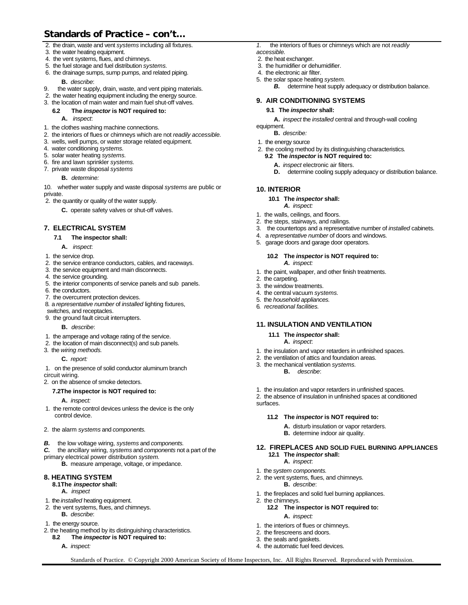# **Standards of Practice – con't…**

- 2. the drain, waste and vent *systems* including all fixtures.
- 3. the water heating equipment.
- 4. the vent systems, flues, and chimneys.
- 5. the fuel storage and fuel distribution *systems.*
- 6. the drainage sumps, sump pumps, and related piping.

# **B.** *describe*:

- 9. the water supply, drain, waste, and vent piping materials.
- 2. the water heating equipment including the energy source.
- 3. the location of main water and main fuel shut-off valves.

# **6.2 The** *inspector* **is NOT required to:**

# **A.** *inspect*:

- 1. the clothes washing machine connections.
- 2. the interiors of flues or chimneys which are not *readily accessible.*
- 3. wells, well pumps, or water storage related equipment.
- 4. water conditioning *systems.*
- 5. solar water heating *systems.*
- 6. fire and lawn sprinkler *systems.*
- 7. private waste disposal *systems*

# **B.** *determine:*

10. whether water supply and waste disposal *systems* are public or private.

2. the quantity or quality of the water supply.

**C.** operate safety valves or shut-off valves.

# **7. ELECTRICAL SYSTEM**

### **7.1 The inspector shall:**

- **A.** *inspect*:
- 1. the service drop.
- 2. the service entrance conductors, cables, and raceways.
- 3. the service equipment and main disconnects.
- 4. the service grounding.
- 5. the interior components of service panels and sub panels.
- 6. the conductors.
- 7. the overcurrent protection devices.
- 8. a *representative number* of *installed* lighting fixtures,
- switches, and receptacles.
- 9. the ground fault circuit interrupters.
	- **B.** *describe*:
- 1. the amperage and voltage rating of the service.
- 2. the location of main disconnect(s) and sub panels.
- 3. the *wiring methods.*

**C.** *report:*

 1. on the presence of solid conductor aluminum branch circuit wiring.

2. on the absence of smoke detectors.

### **7.2The inspector is NOT required to:**

**A.** *inspect:*

- 1. the remote control devices unless the device is the only control device.
- 2. the alarm *systems* and *components.*
- *B.* the low voltage wiring, *systems* and *components.*
- *C.* the ancillary wiring, *systems* and *components* not a part of the primary electrical power distribution *system.*
	- **B.** measure amperage, voltage, or impedance.

# **8. HEATING SYSTEM**

- **8.1The** *inspector* **shall:**
	- **A.** *inspect*
- 1. the *installed* heating equipment.
- 2. the vent systems, flues, and chimneys. **B.** *describe*:
- 
- 1. the energy source.
- 2. the heating method by its distinguishing characteristics.<br>**8.2** The *inspector* is NOT required to: **8.2 The** *inspector* **is NOT required to:**
	- **A.** *inspect:*
- *1.* the interiors of flues or chimneys which are not *readily*
- *accessible.*
- 2. the heat exchanger.
- 3. the humidifier or dehumidifier.
- 4. the electronic air filter.
- 5. the solar space heating *system.* **B.** determine heat supply adequacy or distribution balance.

# **9. AIR CONDITIONING SYSTEMS**

### **9.1 The** *inspector* **shall:**

**A.** *inspect* the *installed* central and through-wall cooling

equipment.

- **B.** *describe:*
- 1. the energy source
- 2. the cooling method by its distinguishing characteristics*.*
	- **9.2 The** *inspector* **is NOT required to:**
		- **A.** *inspect* electronic air filters.
		- **D.** determine cooling supply adequacy or distribution balance.

# **10. INTERIOR**

- **10.1 The** *inspector* **shall:**
	- *A. inspect:*
- 1. the walls, ceilings, and floors.
- 2. the steps, stairways, and railings.
- 3. the countertops and a representative number of *installed* cabinets.
- 4. a *representative number* of doors and windows.
- 5. garage doors and garage door operators.

# **10.2 The** *inspector* **is NOT required to:**

- *A. inspect:*
- 1. the paint, wallpaper, and other finish treatments.
- 2. the carpeting.

Standards of Practice. © Copyright 2000 American Society of Home Inspectors, Inc. All Rights Reserved. Reproduced with Permission.

- 3. the window treatments.
- 4. the central vacuum *systems.*
- 5. the *household appliances.*
- 6*. recreational facilities.*

# **11. INSULATION AND VENTILATION**

- **11.1 The** *inspector* **shall:**
	- **A.** *inspect*:
- 1. the insulation and vapor retarders in unfinished spaces.
- 2. the ventilation of attics and foundation areas.
- 3. the mechanical ventilation *systems.*
	- **B.** *describe*:

 **12.1 The** *inspector* **shall: A.** *inspect*: 1. the *system components.*

**A.** *inspect:* 1. the interiors of flues or chimneys. 2. the firescreens and doors. 3. the seals and gaskets. 4. the automatic fuel feed devices.

2. the chimneys.

2. the vent systems, flues, and chimneys. **B.** *describe*:

1. the fireplaces and solid fuel burning appliances.

**12.2 The inspector is NOT required to:**

1. the insulation and vapor retarders in unfinished spaces.

**11.2 The** *inspector* **is NOT required to: A.** disturb insulation or vapor retarders. **B.** determine indoor air quality.

2. the absence of insulation in unfinished spaces at conditioned surfaces.

**12. FIREPLACES AND SOLID FUEL BURNING APPLIANCES**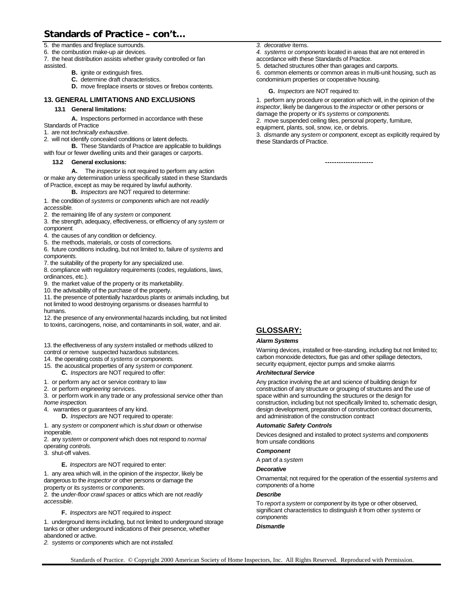# **Standards of Practice – con't…**

5. the mantles and fireplace surrounds.

6. the combustion make-up air devices.

7. the heat distribution assists whether gravity controlled or fan assisted.

- **B.** ignite or extinguish fires.
- **C.** determine draft characteristics.
- **D.** move fireplace inserts or stoves or firebox contents.

# **13. GENERAL LIMITATIONS AND EXCLUSIONS**

### **13.1 General limitations:**

**A.** Inspections performed in accordance with these

- Standards of Practice
- 1. are not *technically exhaustive*.
- 2. will not identify concealed conditions or latent defects.

**B.** These Standards of Practice are applicable to buildings with four or fewer dwelling units and their garages or carports.

### **13.2 General exclusions:**

**A.** The *inspector* is not required to perform any action or make any determination unless specifically stated in these Standards of Practice, except as may be required by lawful authority.

**B.** *Inspectors* are NOT required to determine:

1. the condition of *systems* or *components* which are not *readily accessible.*

2. the remaining life of any *system* or *component.*

3. the strength, adequacy, effectiveness, or efficiency of any *system* or *component.*

4. the causes of any condition or deficiency.

5. the methods, materials, or costs of corrections.

6. future conditions including, but not limited to, failure of *systems* and *components.*

7. the suitability of the property for any specialized use.

8. compliance with regulatory requirements (codes, regulations, laws, ordinances, etc.).

9. the market value of the property or its marketability.

10. the advisability of the purchase of the property.

11. the presence of potentially hazardous plants or animals including, but not limited to wood destroying organisms or diseases harmful to humans.

12. the presence of any environmental hazards including, but not limited to toxins, carcinogens, noise, and contaminants in soil, water, and air.

13. the effectiveness of any *system* installed or methods utilized to control or remove suspected hazardous substances.

- 14. the operating costs of *systems* or *components.*
- 15. the acoustical properties of any *system* or *component.* **C.** *Inspectors* are NOT required to offer:

- 1. or perform any act or service contrary to law
- 2. or perform *engineering* services.

3. or perform work in any trade or any professional service other than *home inspection.*

4. warranties or guarantees of any kind.

**D.** *Inspectors* are NOT required to operate:

1. any *system* or *component* which is *shut down* or otherwise inoperable.

2. any *system* or *component* which does not respond to *normal operating controls.*

3. shut-off valves.

**E.** *Inspectors* are NOT required to enter:

1. any area which will, in the opinion of the *inspector*, likely be dangerous to the *inspector* or other persons or damage the property or its *systems* or *components*.

2. the *under-floor crawl spaces* or attics which are not *readily accessible*.

**F.** *Inspectors* are NOT required to *inspect*:

1. underground items including, but not limited to underground storage tanks or other underground indications of their presence, whether abandoned or active.

*2. systems* or *components* which are not *installed.*

*3. decorative* items.

*4. systems* or *components* located in areas that are not entered in accordance with these Standards of Practice.

5. detached structures other than garages and carports.

6. common elements or common areas in multi-unit housing, such as condominium properties or cooperative housing.

#### **G.** *Inspectors* are NOT required to:

1. perform any procedure or operation which will, in the opinion of the *inspector*, likely be dangerous to the *inspector* or other persons or damage the property or it's *systems* or *components.*

2. move suspended ceiling tiles, personal property, furniture, equipment, plants, soil, snow, ice, or debris.

3. *dismantle* any *system* or *component*, except as explicitly required by these Standards of Practice.

**---------------------**

# **GLOSSARY:**

### *Alarm Systems*

Warning devices, installed or free-standing, including but not limited to; carbon monoxide detectors, flue gas and other spillage detectors, security equipment, ejector pumps and smoke alarms

### *Architectural Service*

Any practice involving the art and science of building design for construction of any structure or grouping of structures and the use of space within and surrounding the structures or the design for construction, including but not specifically limited to, schematic design, design development, preparation of construction contract documents, and administration of the construction contract

### *Automatic Safety Controls*

Devices designed and installed to protect *systems* and *components* from unsafe conditions

### *Component*

A part of a *system*

### *Decorative*

Ornamental; not required for the operation of the essential *systems* and *components* of a home

# *Describe*

To *report* a *system* or *component* by its type or other observed, significant characteristics to distinguish it from other *systems* or *components*

### *Dismantle*

Standards of Practice. © Copyright 2000 American Society of Home Inspectors, Inc. All Rights Reserved. Reproduced with Permission.